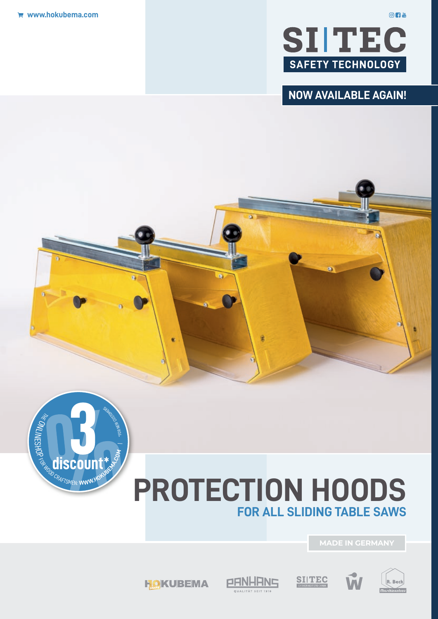

### **NOW AVAILABLE AGAIN!**



## **PROTECTION HOODS FOR ALL SLIDING TABLE SAWS**

**MADE IN GERMANY**



Ċ

PANHANS **DUALITÄT SEIT 1918** 





 $O<sub>1</sub>$